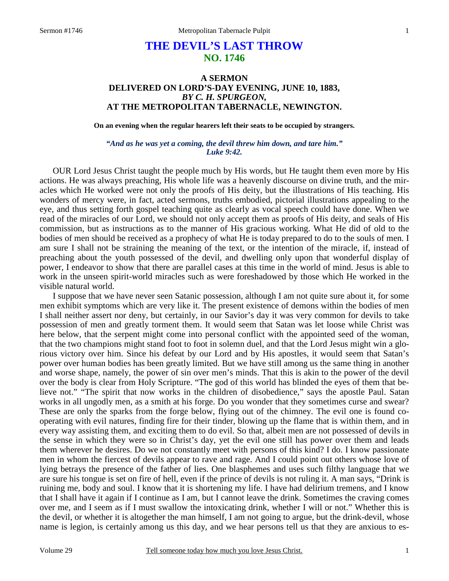## **THE DEVIL'S LAST THROW NO. 1746**

## **A SERMON DELIVERED ON LORD'S-DAY EVENING, JUNE 10, 1883,**  *BY C. H. SPURGEON,*  **AT THE METROPOLITAN TABERNACLE, NEWINGTON.**

**On an evening when the regular hearers left their seats to be occupied by strangers.** 

*"And as he was yet a coming, the devil threw him down, and tare him." Luke 9:42.* 

OUR Lord Jesus Christ taught the people much by His words, but He taught them even more by His actions. He was always preaching, His whole life was a heavenly discourse on divine truth, and the miracles which He worked were not only the proofs of His deity, but the illustrations of His teaching. His wonders of mercy were, in fact, acted sermons, truths embodied, pictorial illustrations appealing to the eye, and thus setting forth gospel teaching quite as clearly as vocal speech could have done. When we read of the miracles of our Lord, we should not only accept them as proofs of His deity, and seals of His commission, but as instructions as to the manner of His gracious working. What He did of old to the bodies of men should be received as a prophecy of what He is today prepared to do to the souls of men. I am sure I shall not be straining the meaning of the text, or the intention of the miracle, if, instead of preaching about the youth possessed of the devil, and dwelling only upon that wonderful display of power, I endeavor to show that there are parallel cases at this time in the world of mind. Jesus is able to work in the unseen spirit-world miracles such as were foreshadowed by those which He worked in the visible natural world.

 I suppose that we have never seen Satanic possession, although I am not quite sure about it, for some men exhibit symptoms which are very like it. The present existence of demons within the bodies of men I shall neither assert nor deny, but certainly, in our Savior's day it was very common for devils to take possession of men and greatly torment them. It would seem that Satan was let loose while Christ was here below, that the serpent might come into personal conflict with the appointed seed of the woman, that the two champions might stand foot to foot in solemn duel, and that the Lord Jesus might win a glorious victory over him. Since his defeat by our Lord and by His apostles, it would seem that Satan's power over human bodies has been greatly limited. But we have still among us the same thing in another and worse shape, namely, the power of sin over men's minds. That this is akin to the power of the devil over the body is clear from Holy Scripture. "The god of this world has blinded the eyes of them that believe not." "The spirit that now works in the children of disobedience," says the apostle Paul. Satan works in all ungodly men, as a smith at his forge. Do you wonder that they sometimes curse and swear? These are only the sparks from the forge below, flying out of the chimney. The evil one is found cooperating with evil natures, finding fire for their tinder, blowing up the flame that is within them, and in every way assisting them, and exciting them to do evil. So that, albeit men are not possessed of devils in the sense in which they were so in Christ's day, yet the evil one still has power over them and leads them wherever he desires. Do we not constantly meet with persons of this kind? I do. I know passionate men in whom the fiercest of devils appear to rave and rage. And I could point out others whose love of lying betrays the presence of the father of lies. One blasphemes and uses such filthy language that we are sure his tongue is set on fire of hell, even if the prince of devils is not ruling it. A man says, "Drink is ruining me, body and soul. I know that it is shortening my life. I have had delirium tremens, and I know that I shall have it again if I continue as I am, but I cannot leave the drink. Sometimes the craving comes over me, and I seem as if I must swallow the intoxicating drink, whether I will or not." Whether this is the devil, or whether it is altogether the man himself, I am not going to argue, but the drink-devil, whose name is legion, is certainly among us this day, and we hear persons tell us that they are anxious to es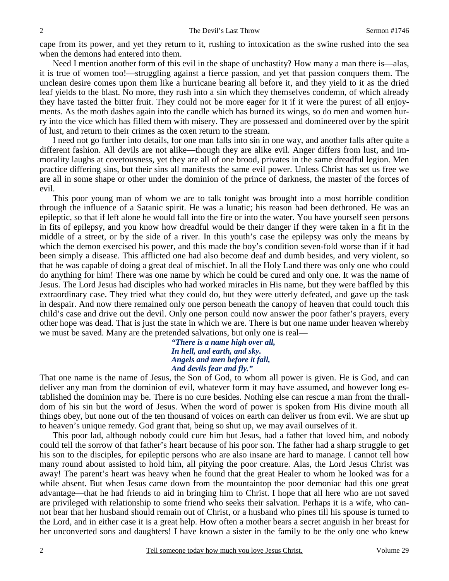cape from its power, and yet they return to it, rushing to intoxication as the swine rushed into the sea when the demons had entered into them.

 Need I mention another form of this evil in the shape of unchastity? How many a man there is—alas, it is true of women too!—struggling against a fierce passion, and yet that passion conquers them. The unclean desire comes upon them like a hurricane bearing all before it, and they yield to it as the dried leaf yields to the blast. No more, they rush into a sin which they themselves condemn, of which already they have tasted the bitter fruit. They could not be more eager for it if it were the purest of all enjoyments. As the moth dashes again into the candle which has burned its wings, so do men and women hurry into the vice which has filled them with misery. They are possessed and domineered over by the spirit of lust, and return to their crimes as the oxen return to the stream.

 I need not go further into details, for one man falls into sin in one way, and another falls after quite a different fashion. All devils are not alike—though they are alike evil. Anger differs from lust, and immorality laughs at covetousness, yet they are all of one brood, privates in the same dreadful legion. Men practice differing sins, but their sins all manifests the same evil power. Unless Christ has set us free we are all in some shape or other under the dominion of the prince of darkness, the master of the forces of evil.

 This poor young man of whom we are to talk tonight was brought into a most horrible condition through the influence of a Satanic spirit. He was a lunatic; his reason had been dethroned. He was an epileptic, so that if left alone he would fall into the fire or into the water. You have yourself seen persons in fits of epilepsy, and you know how dreadful would be their danger if they were taken in a fit in the middle of a street, or by the side of a river. In this youth's case the epilepsy was only the means by which the demon exercised his power, and this made the boy's condition seven-fold worse than if it had been simply a disease. This afflicted one had also become deaf and dumb besides, and very violent, so that he was capable of doing a great deal of mischief. In all the Holy Land there was only one who could do anything for him! There was one name by which he could be cured and only one. It was the name of Jesus. The Lord Jesus had disciples who had worked miracles in His name, but they were baffled by this extraordinary case. They tried what they could do, but they were utterly defeated, and gave up the task in despair. And now there remained only one person beneath the canopy of heaven that could touch this child's case and drive out the devil. Only one person could now answer the poor father's prayers, every other hope was dead. That is just the state in which we are. There is but one name under heaven whereby we must be saved. Many are the pretended salvations, but only one is real—

*"There is a name high over all, In hell, and earth, and sky. Angels and men before it fall, And devils fear and fly."* 

That one name is the name of Jesus, the Son of God, to whom all power is given. He is God, and can deliver any man from the dominion of evil, whatever form it may have assumed, and however long established the dominion may be. There is no cure besides. Nothing else can rescue a man from the thralldom of his sin but the word of Jesus. When the word of power is spoken from His divine mouth all things obey, but none out of the ten thousand of voices on earth can deliver us from evil. We are shut up to heaven's unique remedy. God grant that, being so shut up, we may avail ourselves of it.

 This poor lad, although nobody could cure him but Jesus, had a father that loved him, and nobody could tell the sorrow of that father's heart because of his poor son. The father had a sharp struggle to get his son to the disciples, for epileptic persons who are also insane are hard to manage. I cannot tell how many round about assisted to hold him, all pitying the poor creature. Alas, the Lord Jesus Christ was away! The parent's heart was heavy when he found that the great Healer to whom he looked was for a while absent. But when Jesus came down from the mountaintop the poor demoniac had this one great advantage—that he had friends to aid in bringing him to Christ. I hope that all here who are not saved are privileged with relationship to some friend who seeks their salvation. Perhaps it is a wife, who cannot bear that her husband should remain out of Christ, or a husband who pines till his spouse is turned to the Lord, and in either case it is a great help. How often a mother bears a secret anguish in her breast for her unconverted sons and daughters! I have known a sister in the family to be the only one who knew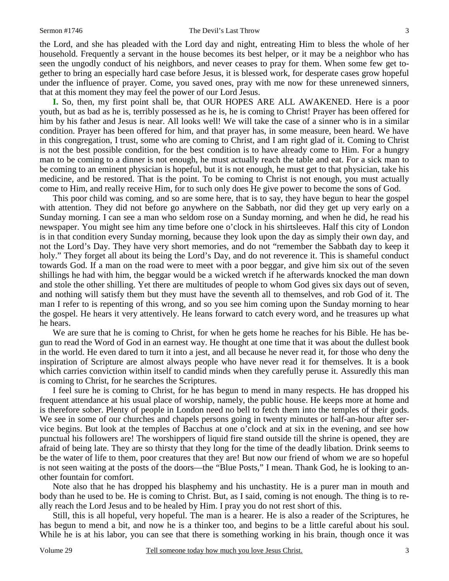the Lord, and she has pleaded with the Lord day and night, entreating Him to bless the whole of her household. Frequently a servant in the house becomes its best helper, or it may be a neighbor who has seen the ungodly conduct of his neighbors, and never ceases to pray for them. When some few get together to bring an especially hard case before Jesus, it is blessed work, for desperate cases grow hopeful under the influence of prayer. Come, you saved ones, pray with me now for these unrenewed sinners, that at this moment they may feel the power of our Lord Jesus.

**I.** So, then, my first point shall be, that OUR HOPES ARE ALL AWAKENED. Here is a poor youth, but as bad as he is, terribly possessed as he is, he is coming to Christ! Prayer has been offered for him by his father and Jesus is near. All looks well! We will take the case of a sinner who is in a similar condition. Prayer has been offered for him, and that prayer has, in some measure, been heard. We have in this congregation, I trust, some who are coming to Christ, and I am right glad of it. Coming to Christ is not the best possible condition, for the best condition is to have already come to Him. For a hungry man to be coming to a dinner is not enough, he must actually reach the table and eat. For a sick man to be coming to an eminent physician is hopeful, but it is not enough, he must get to that physician, take his medicine, and be restored. That is the point. To be coming to Christ is not enough, you must actually come to Him, and really receive Him, for to such only does He give power to become the sons of God.

 This poor child was coming, and so are some here, that is to say, they have begun to hear the gospel with attention. They did not before go anywhere on the Sabbath, nor did they get up very early on a Sunday morning. I can see a man who seldom rose on a Sunday morning, and when he did, he read his newspaper. You might see him any time before one o'clock in his shirtsleeves. Half this city of London is in that condition every Sunday morning, because they look upon the day as simply their own day, and not the Lord's Day. They have very short memories, and do not "remember the Sabbath day to keep it holy." They forget all about its being the Lord's Day, and do not reverence it. This is shameful conduct towards God. If a man on the road were to meet with a poor beggar, and give him six out of the seven shillings he had with him, the beggar would be a wicked wretch if he afterwards knocked the man down and stole the other shilling. Yet there are multitudes of people to whom God gives six days out of seven, and nothing will satisfy them but they must have the seventh all to themselves, and rob God of it. The man I refer to is repenting of this wrong, and so you see him coming upon the Sunday morning to hear the gospel. He hears it very attentively. He leans forward to catch every word, and he treasures up what he hears.

 We are sure that he is coming to Christ, for when he gets home he reaches for his Bible. He has begun to read the Word of God in an earnest way. He thought at one time that it was about the dullest book in the world. He even dared to turn it into a jest, and all because he never read it, for those who deny the inspiration of Scripture are almost always people who have never read it for themselves. It is a book which carries conviction within itself to candid minds when they carefully peruse it. Assuredly this man is coming to Christ, for he searches the Scriptures.

 I feel sure he is coming to Christ, for he has begun to mend in many respects. He has dropped his frequent attendance at his usual place of worship, namely, the public house. He keeps more at home and is therefore sober. Plenty of people in London need no bell to fetch them into the temples of their gods. We see in some of our churches and chapels persons going in twenty minutes or half-an-hour after service begins. But look at the temples of Bacchus at one o'clock and at six in the evening, and see how punctual his followers are! The worshippers of liquid fire stand outside till the shrine is opened, they are afraid of being late. They are so thirsty that they long for the time of the deadly libation. Drink seems to be the water of life to them, poor creatures that they are! But now our friend of whom we are so hopeful is not seen waiting at the posts of the doors—the "Blue Posts," I mean. Thank God, he is looking to another fountain for comfort.

 Note also that he has dropped his blasphemy and his unchastity. He is a purer man in mouth and body than he used to be. He is coming to Christ. But, as I said, coming is not enough. The thing is to really reach the Lord Jesus and to be healed by Him. I pray you do not rest short of this.

 Still, this is all hopeful, very hopeful. The man is a hearer. He is also a reader of the Scriptures, he has begun to mend a bit, and now he is a thinker too, and begins to be a little careful about his soul. While he is at his labor, you can see that there is something working in his brain, though once it was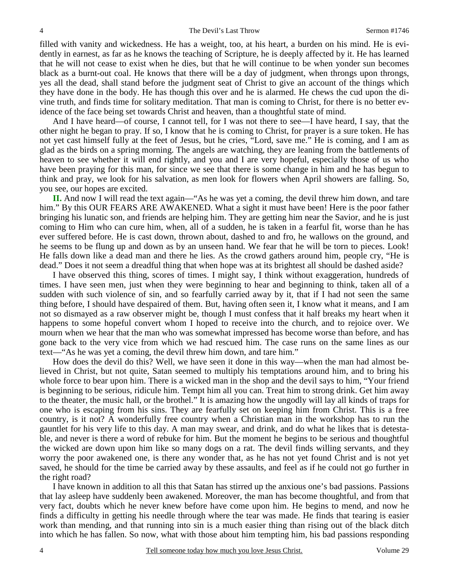filled with vanity and wickedness. He has a weight, too, at his heart, a burden on his mind. He is evidently in earnest, as far as he knows the teaching of Scripture, he is deeply affected by it. He has learned that he will not cease to exist when he dies, but that he will continue to be when yonder sun becomes black as a burnt-out coal. He knows that there will be a day of judgment, when throngs upon throngs, yes all the dead, shall stand before the judgment seat of Christ to give an account of the things which they have done in the body. He has though this over and he is alarmed. He chews the cud upon the divine truth, and finds time for solitary meditation. That man is coming to Christ, for there is no better evidence of the face being set towards Christ and heaven, than a thoughtful state of mind.

And I have heard—of course, I cannot tell, for I was not there to see—I have heard, I say, that the other night he began to pray. If so, I know that he is coming to Christ, for prayer is a sure token. He has not yet cast himself fully at the feet of Jesus, but he cries, "Lord, save me." He is coming, and I am as glad as the birds on a spring morning. The angels are watching, they are leaning from the battlements of heaven to see whether it will end rightly, and you and I are very hopeful, especially those of us who have been praying for this man, for since we see that there is some change in him and he has begun to think and pray, we look for his salvation, as men look for flowers when April showers are falling. So, you see, our hopes are excited.

**II.** And now I will read the text again—"As he was yet a coming, the devil threw him down, and tare him." By this OUR FEARS ARE AWAKENED. What a sight it must have been! Here is the poor father bringing his lunatic son, and friends are helping him. They are getting him near the Savior, and he is just coming to Him who can cure him, when, all of a sudden, he is taken in a fearful fit, worse than he has ever suffered before. He is cast down, thrown about, dashed to and fro, he wallows on the ground, and he seems to be flung up and down as by an unseen hand. We fear that he will be torn to pieces. Look! He falls down like a dead man and there he lies. As the crowd gathers around him, people cry, "He is dead." Does it not seem a dreadful thing that when hope was at its brightest all should be dashed aside?

 I have observed this thing, scores of times. I might say, I think without exaggeration, hundreds of times. I have seen men, just when they were beginning to hear and beginning to think, taken all of a sudden with such violence of sin, and so fearfully carried away by it, that if I had not seen the same thing before, I should have despaired of them. But, having often seen it, I know what it means, and I am not so dismayed as a raw observer might be, though I must confess that it half breaks my heart when it happens to some hopeful convert whom I hoped to receive into the church, and to rejoice over. We mourn when we hear that the man who was somewhat impressed has become worse than before, and has gone back to the very vice from which we had rescued him. The case runs on the same lines as our text—"As he was yet a coming, the devil threw him down, and tare him."

 How does the devil do this? Well, we have seen it done in this way—when the man had almost believed in Christ, but not quite, Satan seemed to multiply his temptations around him, and to bring his whole force to bear upon him. There is a wicked man in the shop and the devil says to him, "Your friend is beginning to be serious, ridicule him. Tempt him all you can. Treat him to strong drink. Get him away to the theater, the music hall, or the brothel." It is amazing how the ungodly will lay all kinds of traps for one who is escaping from his sins. They are fearfully set on keeping him from Christ. This is a free country, is it not? A wonderfully free country when a Christian man in the workshop has to run the gauntlet for his very life to this day. A man may swear, and drink, and do what he likes that is detestable, and never is there a word of rebuke for him. But the moment he begins to be serious and thoughtful the wicked are down upon him like so many dogs on a rat. The devil finds willing servants, and they worry the poor awakened one, is there any wonder that, as he has not yet found Christ and is not yet saved, he should for the time be carried away by these assaults, and feel as if he could not go further in the right road?

 I have known in addition to all this that Satan has stirred up the anxious one's bad passions. Passions that lay asleep have suddenly been awakened. Moreover, the man has become thoughtful, and from that very fact, doubts which he never knew before have come upon him. He begins to mend, and now he finds a difficulty in getting his needle through where the tear was made. He finds that tearing is easier work than mending, and that running into sin is a much easier thing than rising out of the black ditch into which he has fallen. So now, what with those about him tempting him, his bad passions responding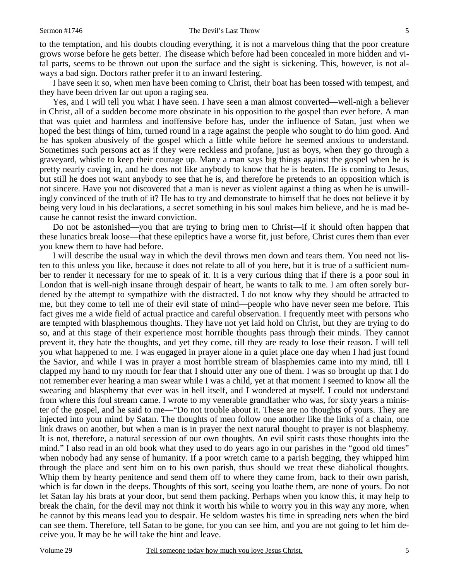to the temptation, and his doubts clouding everything, it is not a marvelous thing that the poor creature grows worse before he gets better. The disease which before had been concealed in more hidden and vital parts, seems to be thrown out upon the surface and the sight is sickening. This, however, is not always a bad sign. Doctors rather prefer it to an inward festering.

 I have seen it so, when men have been coming to Christ, their boat has been tossed with tempest, and they have been driven far out upon a raging sea.

 Yes, and I will tell you what I have seen. I have seen a man almost converted—well-nigh a believer in Christ, all of a sudden become more obstinate in his opposition to the gospel than ever before. A man that was quiet and harmless and inoffensive before has, under the influence of Satan, just when we hoped the best things of him, turned round in a rage against the people who sought to do him good. And he has spoken abusively of the gospel which a little while before he seemed anxious to understand. Sometimes such persons act as if they were reckless and profane, just as boys, when they go through a graveyard, whistle to keep their courage up. Many a man says big things against the gospel when he is pretty nearly caving in, and he does not like anybody to know that he is beaten. He is coming to Jesus, but still he does not want anybody to see that he is, and therefore he pretends to an opposition which is not sincere. Have you not discovered that a man is never as violent against a thing as when he is unwillingly convinced of the truth of it? He has to try and demonstrate to himself that he does not believe it by being very loud in his declarations, a secret something in his soul makes him believe, and he is mad because he cannot resist the inward conviction.

 Do not be astonished—you that are trying to bring men to Christ—if it should often happen that these lunatics break loose—that these epileptics have a worse fit, just before, Christ cures them than ever you knew them to have had before.

 I will describe the usual way in which the devil throws men down and tears them. You need not listen to this unless you like, because it does not relate to all of you here, but it is true of a sufficient number to render it necessary for me to speak of it. It is a very curious thing that if there is a poor soul in London that is well-nigh insane through despair of heart, he wants to talk to me. I am often sorely burdened by the attempt to sympathize with the distracted. I do not know why they should be attracted to me, but they come to tell me of their evil state of mind—people who have never seen me before. This fact gives me a wide field of actual practice and careful observation. I frequently meet with persons who are tempted with blasphemous thoughts. They have not yet laid hold on Christ, but they are trying to do so, and at this stage of their experience most horrible thoughts pass through their minds. They cannot prevent it, they hate the thoughts, and yet they come, till they are ready to lose their reason. I will tell you what happened to me. I was engaged in prayer alone in a quiet place one day when I had just found the Savior, and while I was in prayer a most horrible stream of blasphemies came into my mind, till I clapped my hand to my mouth for fear that I should utter any one of them. I was so brought up that I do not remember ever hearing a man swear while I was a child, yet at that moment I seemed to know all the swearing and blasphemy that ever was in hell itself, and I wondered at myself. I could not understand from where this foul stream came. I wrote to my venerable grandfather who was, for sixty years a minister of the gospel, and he said to me—"Do not trouble about it. These are no thoughts of yours. They are injected into your mind by Satan. The thoughts of men follow one another like the links of a chain, one link draws on another, but when a man is in prayer the next natural thought to prayer is not blasphemy. It is not, therefore, a natural secession of our own thoughts. An evil spirit casts those thoughts into the mind." I also read in an old book what they used to do years ago in our parishes in the "good old times" when nobody had any sense of humanity. If a poor wretch came to a parish begging, they whipped him through the place and sent him on to his own parish, thus should we treat these diabolical thoughts. Whip them by hearty penitence and send them off to where they came from, back to their own parish, which is far down in the deeps. Thoughts of this sort, seeing you loathe them, are none of yours. Do not let Satan lay his brats at your door, but send them packing. Perhaps when you know this, it may help to break the chain, for the devil may not think it worth his while to worry you in this way any more, when he cannot by this means lead you to despair. He seldom wastes his time in spreading nets when the bird can see them. Therefore, tell Satan to be gone, for you can see him, and you are not going to let him deceive you. It may be he will take the hint and leave.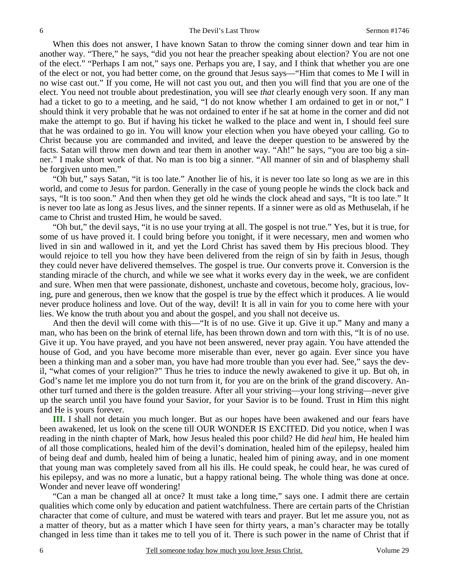When this does not answer, I have known Satan to throw the coming sinner down and tear him in another way. "There," he says, "did you not hear the preacher speaking about election? You are not one of the elect." "Perhaps I am not," says one. Perhaps you are, I say, and I think that whether you are one of the elect or not, you had better come, on the ground that Jesus says—"Him that comes to Me I will in no wise cast out." If you come, He will not cast you out, and then you will find that you are one of the elect. You need not trouble about predestination, you will see *that* clearly enough very soon. If any man had a ticket to go to a meeting, and he said, "I do not know whether I am ordained to get in or not," I should think it very probable that he was not ordained to enter if he sat at home in the corner and did not make the attempt to go. But if having his ticket he walked to the place and went in, I should feel sure that he was ordained to go in. You will know your election when you have obeyed your calling. Go to Christ because you are commanded and invited, and leave the deeper question to be answered by the facts. Satan will throw men down and tear them in another way. "Ah!" he says, "you are too big a sinner." I make short work of that. No man is too big a sinner. "All manner of sin and of blasphemy shall be forgiven unto men."

 "Oh but," says Satan, "it is too late." Another lie of his, it is never too late so long as we are in this world, and come to Jesus for pardon. Generally in the case of young people he winds the clock back and says, "It is too soon." And then when they get old he winds the clock ahead and says, "It is too late." It is never too late as long as Jesus lives, and the sinner repents. If a sinner were as old as Methuselah, if he came to Christ and trusted Him, he would be saved.

 "Oh but," the devil says, "it is no use your trying at all. The gospel is not true." Yes, but it is true, for some of us have proved it. I could bring before you tonight, if it were necessary, men and women who lived in sin and wallowed in it, and yet the Lord Christ has saved them by His precious blood. They would rejoice to tell you how they have been delivered from the reign of sin by faith in Jesus, though they could never have delivered themselves. The gospel is true. Our converts prove it. Conversion is the standing miracle of the church, and while we see what it works every day in the week, we are confident and sure. When men that were passionate, dishonest, unchaste and covetous, become holy, gracious, loving, pure and generous, then we know that the gospel is true by the effect which it produces. A lie would never produce holiness and love. Out of the way, devil! It is all in vain for you to come here with your lies. We know the truth about you and about the gospel, and you shall not deceive us.

 And then the devil will come with this—"It is of no use. Give it up. Give it up." Many and many a man, who has been on the brink of eternal life, has been thrown down and torn with this, "It is of no use. Give it up. You have prayed, and you have not been answered, never pray again. You have attended the house of God, and you have become more miserable than ever, never go again. Ever since you have been a thinking man and a sober man, you have had more trouble than you ever had. See," says the devil, "what comes of your religion?" Thus he tries to induce the newly awakened to give it up. But oh, in God's name let me implore you do not turn from it, for you are on the brink of the grand discovery. Another turf turned and there is the golden treasure. After all your striving—your long striving—never give up the search until you have found your Savior, for your Savior is to be found. Trust in Him this night and He is yours forever.

**III.** I shall not detain you much longer. But as our hopes have been awakened and our fears have been awakened, let us look on the scene till OUR WONDER IS EXCITED. Did you notice, when I was reading in the ninth chapter of Mark, how Jesus healed this poor child? He did *heal* him, He healed him of all those complications, healed him of the devil's domination, healed him of the epilepsy, healed him of being deaf and dumb, healed him of being a lunatic, healed him of pining away, and in one moment that young man was completely saved from all his ills. He could speak, he could hear, he was cured of his epilepsy, and was no more a lunatic, but a happy rational being. The whole thing was done at once. Wonder and never leave off wondering!

 "Can a man be changed all at once? It must take a long time," says one. I admit there are certain qualities which come only by education and patient watchfulness. There are certain parts of the Christian character that come of culture, and must be watered with tears and prayer. But let me assure you, not as a matter of theory, but as a matter which I have seen for thirty years, a man's character may be totally changed in less time than it takes me to tell you of it. There is such power in the name of Christ that if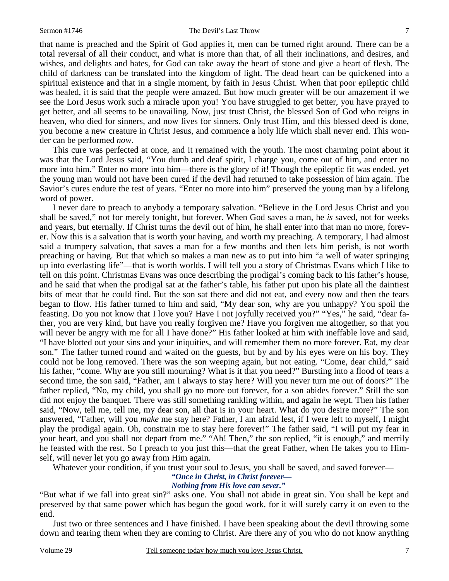that name is preached and the Spirit of God applies it, men can be turned right around. There can be a total reversal of all their conduct, and what is more than that, of all their inclinations, and desires, and wishes, and delights and hates, for God can take away the heart of stone and give a heart of flesh. The child of darkness can be translated into the kingdom of light. The dead heart can be quickened into a spiritual existence and that in a single moment, by faith in Jesus Christ. When that poor epileptic child was healed, it is said that the people were amazed. But how much greater will be our amazement if we see the Lord Jesus work such a miracle upon you! You have struggled to get better, you have prayed to get better, and all seems to be unavailing. Now, just trust Christ, the blessed Son of God who reigns in heaven, who died for sinners, and now lives for sinners. Only trust Him, and this blessed deed is done, you become a new creature in Christ Jesus, and commence a holy life which shall never end. This wonder can be performed *now*.

 This cure was perfected at once, and it remained with the youth. The most charming point about it was that the Lord Jesus said, "You dumb and deaf spirit, I charge you, come out of him, and enter no more into him." Enter no more into him—there is the glory of it! Though the epileptic fit was ended, yet the young man would not have been cured if the devil had returned to take possession of him again. The Savior's cures endure the test of years. "Enter no more into him" preserved the young man by a lifelong word of power.

 I never dare to preach to anybody a temporary salvation. "Believe in the Lord Jesus Christ and you shall be saved," not for merely tonight, but forever. When God saves a man, he *is* saved, not for weeks and years, but eternally. If Christ turns the devil out of him, he shall enter into that man no more, forever. Now this is a salvation that is worth your having, and worth my preaching. A temporary, I had almost said a trumpery salvation, that saves a man for a few months and then lets him perish, is not worth preaching or having. But that which so makes a man new as to put into him "a well of water springing up into everlasting life"—that is worth worlds. I will tell you a story of Christmas Evans which I like to tell on this point. Christmas Evans was once describing the prodigal's coming back to his father's house, and he said that when the prodigal sat at the father's table, his father put upon his plate all the daintiest bits of meat that he could find. But the son sat there and did not eat, and every now and then the tears began to flow. His father turned to him and said, "My dear son, why are you unhappy? You spoil the feasting. Do you not know that I love you? Have I not joyfully received you?" "Yes," he said, "dear father, you are very kind, but have you really forgiven me? Have you forgiven me altogether, so that you will never be angry with me for all I have done?" His father looked at him with ineffable love and said, "I have blotted out your sins and your iniquities, and will remember them no more forever. Eat, my dear son." The father turned round and waited on the guests, but by and by his eyes were on his boy. They could not be long removed. There was the son weeping again, but not eating. "Come, dear child," said his father, "come. Why are you still mourning? What is it that you need?" Bursting into a flood of tears a second time, the son said, "Father, am I always to stay here? Will you never turn me out of doors?" The father replied, "No, my child, you shall go no more out forever, for a son abides forever." Still the son did not enjoy the banquet. There was still something rankling within, and again he wept. Then his father said, "Now, tell me, tell me, my dear son, all that is in your heart. What do you desire more?" The son answered, "Father, will you *make* me stay here? Father, I am afraid lest, if I were left to myself, I might play the prodigal again. Oh, constrain me to stay here forever!" The father said, "I will put my fear in your heart, and you shall not depart from me." "Ah! Then," the son replied, "it is enough," and merrily he feasted with the rest. So I preach to you just this—that the great Father, when He takes you to Himself, will never let you go away from Him again.

Whatever your condition, if you trust your soul to Jesus, you shall be saved, and saved forever—

*"Once in Christ, in Christ forever—* 

*Nothing from His love can sever."* 

"But what if we fall into great sin?" asks one. You shall not abide in great sin. You shall be kept and preserved by that same power which has begun the good work, for it will surely carry it on even to the end.

 Just two or three sentences and I have finished. I have been speaking about the devil throwing some down and tearing them when they are coming to Christ. Are there any of you who do not know anything